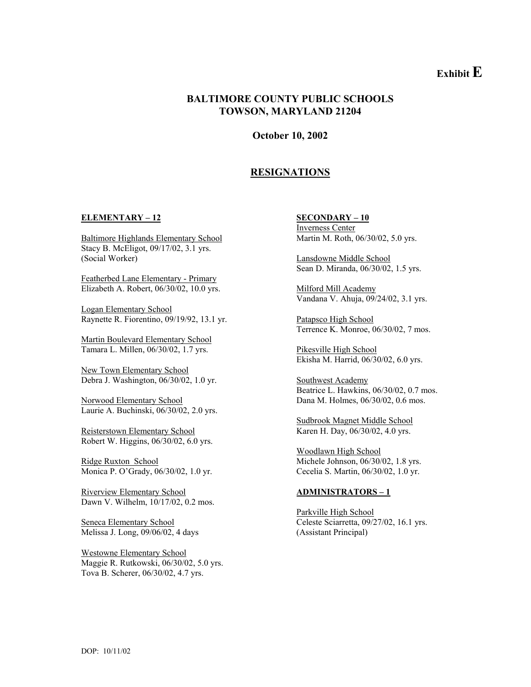# **Exhibit E**

### **BALTIMORE COUNTY PUBLIC SCHOOLS TOWSON, MARYLAND 21204**

**October 10, 2002** 

## **RESIGNATIONS**

#### **ELEMENTARY – 12 SECONDARY – 10**

Baltimore Highlands Elementary School Martin M. Roth, 06/30/02, 5.0 yrs. Stacy B. McEligot, 09/17/02, 3.1 yrs. (Social Worker) Lansdowne Middle School

Featherbed Lane Elementary - Primary Elizabeth A. Robert, 06/30/02, 10.0 yrs. Milford Mill Academy

Logan Elementary School Raynette R. Fiorentino, 09/19/92, 13.1 yr. Patapsco High School

Martin Boulevard Elementary School Tamara L. Millen, 06/30/02, 1.7 yrs. Pikesville High School

New Town Elementary School Debra J. Washington, 06/30/02, 1.0 yr. Southwest Academy

Norwood Elementary School Dana M. Holmes, 06/30/02, 0.6 mos. Laurie A. Buchinski, 06/30/02, 2.0 yrs.

Reisterstown Elementary School Karen H. Day, 06/30/02, 4.0 yrs. Robert W. Higgins, 06/30/02, 6.0 yrs.

Monica P. O'Grady, 06/30/02, 1.0 yr. Cecelia S. Martin, 06/30/02, 1.0 yr.

Riverview Elementary School **ADMINISTRATORS – 1** Dawn V. Wilhelm, 10/17/02, 0.2 mos.

Melissa J. Long, 09/06/02, 4 days (Assistant Principal)

Westowne Elementary School Maggie R. Rutkowski, 06/30/02, 5.0 yrs. Tova B. Scherer, 06/30/02, 4.7 yrs.

Inverness Center

Sean D. Miranda, 06/30/02, 1.5 yrs.

Vandana V. Ahuja, 09/24/02, 3.1 yrs.

Terrence K. Monroe, 06/30/02, 7 mos.

Ekisha M. Harrid, 06/30/02, 6.0 yrs.

Beatrice L. Hawkins, 06/30/02, 0.7 mos.

Sudbrook Magnet Middle School

Woodlawn High School Ridge Ruxton School **Michele Johnson**, 06/30/02, 1.8 yrs.

Parkville High School Seneca Elementary School Celeste Sciarretta, 09/27/02, 16.1 yrs.